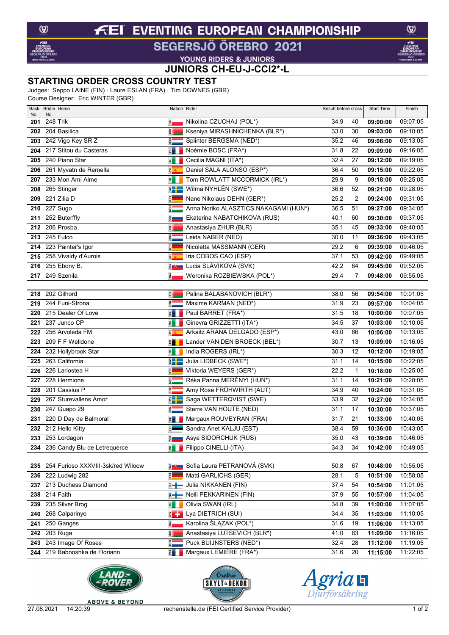### **EVENTING EUROPEAN CHAMPIONSHIP**  $f$ El

## SEGERSJÖ ÖREBRO 2021

**VOUNG RIDERS & JUNIORS<br>JUNIORS CH-EU-J-CCI2\*-L** 

#### **STARTING ORDER CROSS COUNTRY TEST**

Judges: Seppo LAINE (FIN) · Laure ESLAN (FRA) · Tim DOWNES (GBR)

Course Designer: Eric WINTER (GBR)

| Back<br>No. | <b>Bridle Horse</b><br>No.                  | Nation Rider                    |                                                     | Result before cross |          | <b>Start Time</b>    | Finish               |
|-------------|---------------------------------------------|---------------------------------|-----------------------------------------------------|---------------------|----------|----------------------|----------------------|
| 201         | 248 Trik                                    | ē,                              | Nikolina CZUCHAJ (POL*)                             | 34.9                | 40       | 09:00:00             | 09:07:05             |
| 202         | 204 Basilica                                | E.                              | Kseniya MIRASHNICHENKA (BLR*)                       | 33.0                | 30       | 09:03:00             | 09:10:05             |
| 203         | 242 Vigo Key SR Z                           | $\frac{2}{10}$                  | Splinter BERGSMA (NED*)                             | 35.2                | 46       | 09:06:00             | 09:13:05             |
|             | 204 217 Stitou du Casteras                  | FRA                             | Noémie BOSC (FRA*)                                  | 31.8                | 22       | 09:09:00             | 09:16:05             |
| 205         | 240 Piano Star                              | 国                               | Cecilia MAGNI (ITA*)                                | 32.4                | 27       | 09:12:00             | 09:19:05             |
| 206         | 261 Myvatn de Remella                       | g <sub>&amp;</sub>              | Daniel SALA ALONSO (ESP*)                           | 36.4                | 50       | 09:15:00             | 09:22:05             |
| 207         | 233 Mon Ami Alme                            | 国                               | Tom ROWLATT MCCORMICK (IRL*)                        | 29.9                | 9        | 09:18:00             | 09:25:05             |
| 208         | 265 Stinger                                 | $rac{1}{2}$                     | Wilma NYHLÉN (SWE*)                                 | 36.6                | 52       | 09:21:00             | 09:28:05             |
| 209         | 221 Zilia D                                 | <b>GER</b>                      | Nane Nikolaus DEHN (GER*)                           | 25.2                | 2        | 09:24:00             | 09:31:05             |
| 210         | 227 Sugo                                    | $\frac{1}{2}$                   | Anna Noriko ALASZTICS NAKAGAMI (HUN*)               | 36.5                | 51       | 09:27:00             | 09:34:05             |
| 211         | 252 Buterffly                               | $\frac{2}{5}$                   | Ekaterina NABATCHIKOVA (RUS)                        | 40.1                | 60       | 09:30:00             | 09:37:05             |
|             | 212 206 Prosba                              | E.                              | Anastasiya ZHUR (BLR)                               | 35.1                | 45       | 09:33:00             | 09:40:05             |
|             | 213 245 Fulco                               | <b>GBN</b>                      | Leida NABER (NED)                                   | 30.0                | 11       | 09:36:00             | 09:43:05             |
|             | 214 223 Painter's Igor                      | GER                             | Nicoletta MASSMANN (GER)                            | 29.2                | 6        | 09:39:00             | 09:46:05             |
|             | 215 258 Vivaldy d'Aurois                    | <b>ED</b>                       | Iria COBOS CAO (ESP)                                | 37.1                | 53       | 09:42:00             | 09:49:05             |
|             | 216 255 Ebony B.                            |                                 | ≹ U Lucia SLÁVIKOVÁ (SVK)                           | 42.2                | 64       | 09:45:00             | 09:52:05             |
|             | <b>217</b> 249 Szenila                      | ě.                              | Weronika ROZBIEWSKA (POL*)                          | 29.4                | 7        | 09:48:00             | 09:55:05             |
|             |                                             |                                 |                                                     |                     |          |                      |                      |
|             | 218 202 Gilhord                             | E                               | Palina BALABANOVICH (BLR*)                          | 38.0                | 56       | 09:54:00             | 10:01:05             |
| 219         | 244 Funi-Strona                             | <b>AED</b>                      | Maxime KARMAN (NED*)                                | 31.9                | 23       | 09:57:00             | 10:04:05             |
| 220         | 215 Dealer Of Love                          | $\frac{1}{2}$                   | Paul BARRET (FRA*)                                  | 31.5                | 18       | 10:00:00             | 10:07:05             |
|             | 221 237 Junco CP                            | 园                               | Ginevra GRIZZETTI (ITA*)                            | 34.5                | 37       | 10:03:00             | 10:10:05             |
|             | 222 256 Arvoleda FM<br>223 209 F F Welldone | <b>BB</b>                       | Arkaitz ARANA DELGADO (ESP*)                        | 43.0<br>30.7        | 66<br>13 | 10:06:00<br>10:09:00 | 10:13:05<br>10:16:05 |
| 224         | 232 Hollybrook Star                         | $\frac{1}{2}$<br>$\overline{P}$ | Lander VAN DEN BROECK (BEL*)<br>India ROGERS (IRL*) | 30.3                | 12       | 10:12:00             | 10:19:05             |
|             | 225 263 California                          | $\frac{1}{2}$                   | Julia LIDBECK (SWE*)                                | 31.1                | 14       | 10:15:00             | 10:22:05             |
| 226         | 226 Lariostea H                             | $\frac{1}{2}$                   | Viktoria WEYERS (GER*)                              | 22.2                | 1        | 10:18:00             | 10:25:05             |
| 227         | 228 Hermione                                | $\frac{1}{2}$                   | Réka Panna MERÉNYI (HUN*)                           | 31.1                | 14       | 10:21:00             | 10:28:05             |
| 228         | 201 Cassius P                               | ξ                               | Amy Rose FRÜHWIRTH (AUT)                            | 34.9                | 40       | 10:24:00             | 10:31:05             |
| 229         | 267 Sturevallens Amor                       | $rac{1}{2}$                     | Saga WETTERQVIST (SWE)                              | 33.9                | 32       | 10:27:00             | 10:34:05             |
|             | 230 247 Guapo 29                            | <b>NED</b>                      | Sterre VAN HOUTE (NED)                              | 31.1                | 17       | 10:30:00             | 10:37:05             |
|             | 231 220 D Day de Balmoral                   | ERA                             | Margaux ROUVEYRAN (FRA)                             | 31.7                | 21       | 10:33:00             | 10:40:05             |
| 232         | 212 Hello Kitty                             | EST                             | Sandra Anet KALJU (EST)                             | 38.4                | 59       | 10:36:00             | 10:43:05             |
|             | 233 253 Lordagon                            | $\frac{1}{2}$                   | Asya SIDORCHUK (RUS)                                | 35.0                | 43       | 10:39:00             | 10:46:05             |
|             | 234 236 Candy Blu de Letrequerce            | 剥出                              | Filippo CINELLI (ITA)                               | 34.3                | 34       | 10:42:00             | 10:49:05             |
|             |                                             |                                 |                                                     |                     |          |                      |                      |
|             | 235 254 Furioso XXXVIII-3sk/red Wiloow      | $\frac{3}{2}$ $\frac{1}{2}$     | Sofia Laura PETRANOVÁ (SVK)                         | 50.8                | 67       | 10:48:00             | 10:55:05             |
|             | 236 222 Ludwig 282                          | <b>GER</b>                      | Matti GARLICHS (GER)                                | 28.1                | 5        | 10:51:00             | 10:58:05             |
|             | 237 213 Duchess Diamond                     | $\overline{z}$ +                | Julia NIKKANEN (FIN)                                | 37.4                | 54       | 10:54:00             | 11:01:05             |
|             | 238 214 Faith                               | $\overline{z}$ +                | Nelli PEKKARINEN (FIN)                              | 37.9                | 55       | 10:57:00             | 11:04:05             |
|             | 239 235 Silver Brog                         | $\overline{B}$                  | Olivia SWAN (IRL)                                   | 34.8                | 39       | 11:00:00             | 11:07:05             |
|             | 240 268 Calparinyo                          |                                 | E - Lya DIETRICH (SUI)                              | 34.4                | 35       | 11:03:00             | 11:10:05             |
| 241         | 250 Ganges                                  | ě.                              | Karolina ŚLĄZAK (POL*)                              | 31.6                | 19       | 11:06:00             | 11:13:05             |
|             | 242 203 Ruga                                | 買                               | Anastasiya LUTSEVICH (BLR*)                         | 41.0                | 63       | 11:09:00             | 11:16:05             |
|             | 243 243 Image Of Roses                      | $rac{1}{2}$                     | Puck BUIJNSTERS (NED*)                              | 32.4                | 28       | 11:12:00             | 11:19:05             |
|             | 244 219 Babooshka de Floriann               | 图                               | Margaux LEMIÈRE (FRA*)                              | 31.6                | 20       | 11:15:00             | 11:22:05             |







 $\circledcirc$